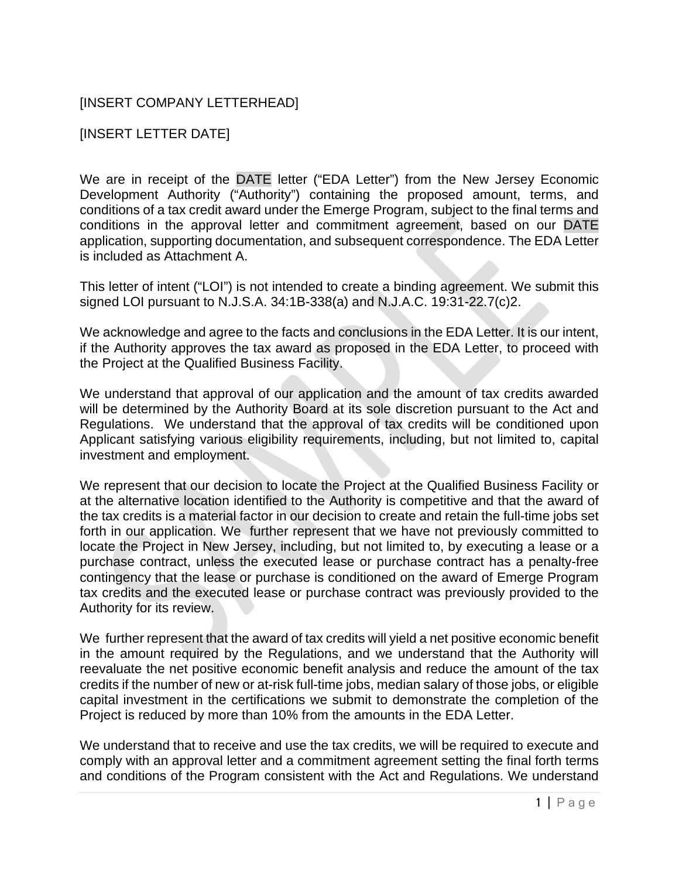## [INSERT COMPANY LETTERHEAD]

## [INSERT LETTER DATE]

We are in receipt of the DATE letter ("EDA Letter") from the New Jersey Economic Development Authority ("Authority") containing the proposed amount, terms, and conditions of a tax credit award under the Emerge Program, subject to the final terms and conditions in the approval letter and commitment agreement, based on our DATE application, supporting documentation, and subsequent correspondence. The EDA Letter is included as Attachment A.

This letter of intent ("LOI") is not intended to create a binding agreement. We submit this signed LOI pursuant to N.J.S.A. 34:1B-338(a) and N.J.A.C. 19:31-22.7(c)2.

We acknowledge and agree to the facts and conclusions in the EDA Letter. It is our intent, if the Authority approves the tax award as proposed in the EDA Letter, to proceed with the Project at the Qualified Business Facility.

We understand that approval of our application and the amount of tax credits awarded will be determined by the Authority Board at its sole discretion pursuant to the Act and Regulations. We understand that the approval of tax credits will be conditioned upon Applicant satisfying various eligibility requirements, including, but not limited to, capital investment and employment.

We represent that our decision to locate the Project at the Qualified Business Facility or at the alternative location identified to the Authority is competitive and that the award of the tax credits is a material factor in our decision to create and retain the full-time jobs set forth in our application. We further represent that we have not previously committed to locate the Project in New Jersey, including, but not limited to, by executing a lease or a purchase contract, unless the executed lease or purchase contract has a penalty-free contingency that the lease or purchase is conditioned on the award of Emerge Program tax credits and the executed lease or purchase contract was previously provided to the Authority for its review.

We further represent that the award of tax credits will yield a net positive economic benefit in the amount required by the Regulations, and we understand that the Authority will reevaluate the net positive economic benefit analysis and reduce the amount of the tax credits if the number of new or at-risk full-time jobs, median salary of those jobs, or eligible capital investment in the certifications we submit to demonstrate the completion of the Project is reduced by more than 10% from the amounts in the EDA Letter.

We understand that to receive and use the tax credits, we will be required to execute and comply with an approval letter and a commitment agreement setting the final forth terms and conditions of the Program consistent with the Act and Regulations. We understand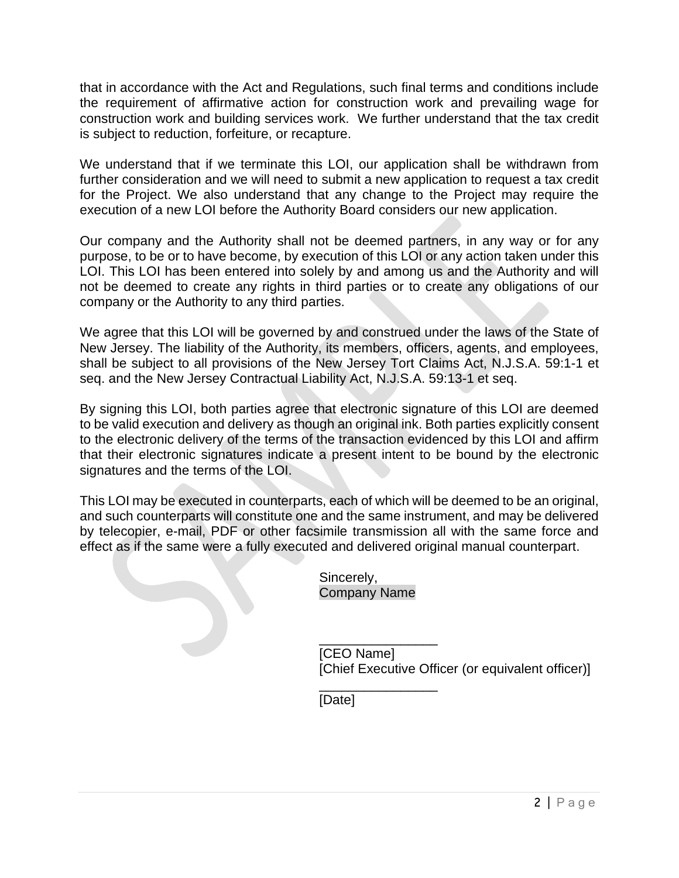that in accordance with the Act and Regulations, such final terms and conditions include the requirement of affirmative action for construction work and prevailing wage for construction work and building services work. We further understand that the tax credit is subject to reduction, forfeiture, or recapture.

We understand that if we terminate this LOI, our application shall be withdrawn from further consideration and we will need to submit a new application to request a tax credit for the Project. We also understand that any change to the Project may require the execution of a new LOI before the Authority Board considers our new application.

Our company and the Authority shall not be deemed partners, in any way or for any purpose, to be or to have become, by execution of this LOI or any action taken under this LOI. This LOI has been entered into solely by and among us and the Authority and will not be deemed to create any rights in third parties or to create any obligations of our company or the Authority to any third parties.

We agree that this LOI will be governed by and construed under the laws of the State of New Jersey. The liability of the Authority, its members, officers, agents, and employees, shall be subject to all provisions of the New Jersey Tort Claims Act, N.J.S.A. 59:1-1 et seq. and the New Jersey Contractual Liability Act, N.J.S.A. 59:13-1 et seq.

By signing this LOI, both parties agree that electronic signature of this LOI are deemed to be valid execution and delivery as though an original ink. Both parties explicitly consent to the electronic delivery of the terms of the transaction evidenced by this LOI and affirm that their electronic signatures indicate a present intent to be bound by the electronic signatures and the terms of the LOI.

This LOI may be executed in counterparts, each of which will be deemed to be an original, and such counterparts will constitute one and the same instrument, and may be delivered by telecopier, e-mail, PDF or other facsimile transmission all with the same force and effect as if the same were a fully executed and delivered original manual counterpart.

> Sincerely, Company Name

\_\_\_\_\_\_\_\_\_\_\_\_\_\_\_\_ [CEO Name] [Chief Executive Officer (or equivalent officer)]

\_\_\_\_\_\_\_\_\_\_\_\_\_\_\_\_ [Date]